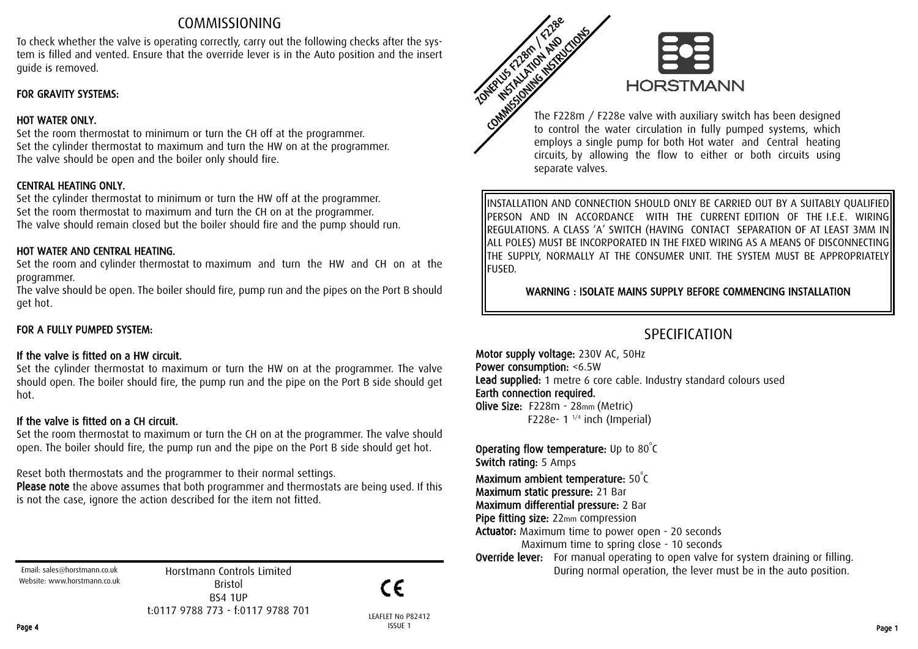# COMMISSIONING

To check whether the valve is operating correctly, carry out the following checks after the system is filled and vented. Ensure that the override lever is in the Auto position and the insert guide is removed.

# FOR GRAVITY SYSTEMS:

# HOT WATER ONLY.

Set the room thermostat to minimum or turn the CH off at the programmer. Set the cylinder thermostat to maximum and turn the HW on at the programmer. The valve should be open and the boiler only should fire.

# CENTRAL HEATING ONLY.

Set the cylinder thermostat to minimum or turn the HW off at the programmer. Set the room thermostat to maximum and turn the CH on at the programmer. The valve should remain closed but the boiler should fire and the pump should run.

### HOT WATER AND CENTRAL HEATING.

Set the room and cylinder thermostat to maximum and turn the HW and CH on at the programmer.

The valve should be open. The boiler should fire, pump run and the pipes on the Port B should get hot.

# FOR A FULLY PUMPED SYSTEM:

# If the valve is fitted on a HW circuit.

Set the cylinder thermostat to maximum or turn the HW on at the programmer. The valve should open. The boiler should fire, the pump run and the pipe on the Port B side should get hot.

# If the valve is fitted on a CH circuit.

Set the room thermostat to maximum or turn the CH on at the programmer. The valve should open. The boiler should fire, the pump run and the pipe on the Port B side should get hot.

Reset both thermostats and the programmer to their normal settings.

Please note the above assumes that both programmer and thermostats are being used. If this is not the case, ignore the action described for the item not fitted.

Email: sales@horstmann.co.uk Website: www.horstmann.co.uk

Horstmann Controls Limited Bristol BS4 1UP t:0117 9788 773 - f:0117 9788 701



LEAFLET No P82412 Page 4 ISSUE 1 ISSUE 1 ISSUE 2 ISSUE 2 ISSUE 2 ISSUE 2 ISSUE 2 ISSUE 2 ISSUE 2 ISSUE 2 ISSUE 2 ISSUE 2 ISSUE 2



The F228m / F228e valve with auxiliary switch has been designed to control the water circulation in fully pumped systems, which employs a single pump for both Hot water and Central heating circuits, by allowing the flow to either or both circuits using separate valves.

INSTALLATION AND CONNECTION SHOULD ONLY BE CARRIED OUT BY A SUITABLY QUALIFIED PERSON AND IN ACCORDANCE WITH THE CURRENT EDITION OF THE I.E.E. WIRING REGULATIONS. A CLASS 'A' SWITCH (HAVING CONTACT SEPARATION OF AT LEAST 3MM IN ALL POLES) MUST BE INCORPORATED IN THE FIXED WIRING AS A MEANS OF DISCONNECTING THE SUPPLY, NORMALLY AT THE CONSUMER UNIT. THE SYSTEM MUST BE APPROPRIATELY FUSED.

WARNING : ISOLATE MAINS SUPPLY BEFORE COMMENCING INSTALLATION

# SPECIFICATION

Motor supply voltage: 230V AC, 50Hz Power consumption: <6.5W Lead supplied: 1 metre 6 core cable. Industry standard colours used Earth connection required. Olive Size: F228m - 28mm (Metric) F228e-  $1^{1/4}$  inch (Imperial)

**Operating flow temperature:** Up to  $80^{\circ}$ C

Switch rating: 5 Amps

Maximum ambient temperature:  $50^{\circ}$ C

Maximum static pressure: 21 Bar

Maximum differential pressure: 2 Bar

Pipe fitting size: 22mm compression

Actuator: Maximum time to power open - 20 seconds

Maximum time to spring close - 10 seconds

Override lever: For manual operating to open valve for system draining or filling. During normal operation, the lever must be in the auto position.